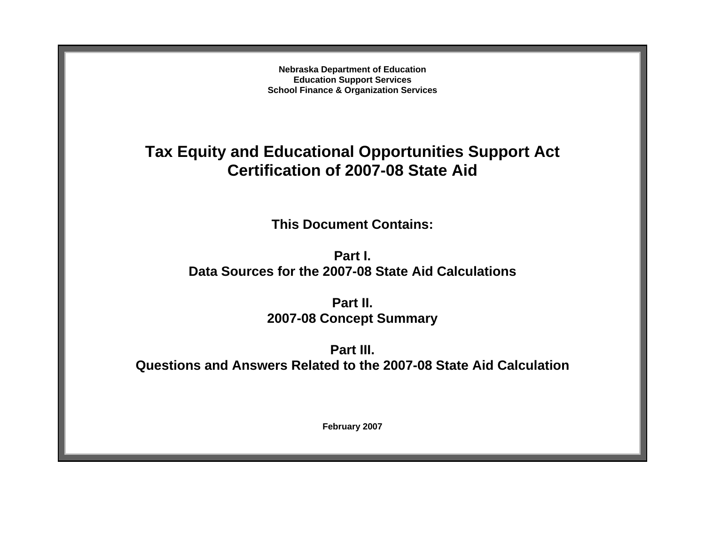**Nebraska Department of Education Education Support Services School Finance & Organization Services**

# **Tax Equity and Educational Opportunities Support Act Certification of 2007-08 State Aid**

**This Document Contains:** 

**Part I. Data Sources for the 2007-08 State Aid Calculations** 

> **Part II. 2007-08 Concept Summary**

**Part III. Questions and Answers Related to the 2007-08 State Aid Calculation**

**February 2007**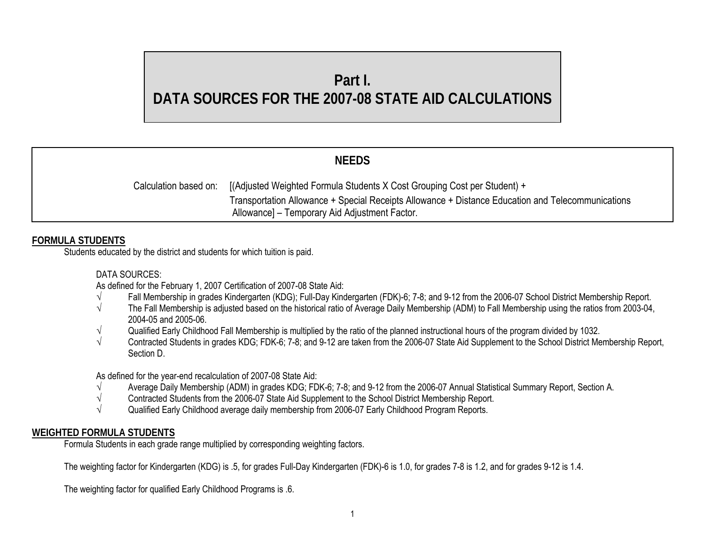# **Part I. DATA SOURCES FOR THE 2007-08 STATE AID CALCULATIONS**

| <b>NEEDS</b> |                                                                                                                                                                                                                                                      |  |
|--------------|------------------------------------------------------------------------------------------------------------------------------------------------------------------------------------------------------------------------------------------------------|--|
|              | Calculation based on: [(Adjusted Weighted Formula Students X Cost Grouping Cost per Student) +<br>Transportation Allowance + Special Receipts Allowance + Distance Education and Telecommunications<br>Allowance] – Temporary Aid Adjustment Factor. |  |

# **FORMULA STUDENTS**

Students educated by the district and students for which tuition is paid.

#### DATA SOURCES:

As defined for the February 1, 2007 Certification of 2007-08 State Aid:

- √ Fall Membership in grades Kindergarten (KDG); Full-Day Kindergarten (FDK)-6; 7-8; and 9-12 from the 2006-07 School District Membership Report.<br>√ The Fall Membership is adiusted based on the historical ratio of Average D
- The Fall Membership is adjusted based on the historical ratio of Average Daily Membership (ADM) to Fall Membership using the ratios from 2003-04, 2004-05 and 2005-06.
- $\sqrt{ }$  Qualified Early Childhood Fall Membership is multiplied by the ratio of the planned instructional hours of the program divided by 1032.
- √ Contracted Students in grades KDG; FDK-6; 7-8; and 9-12 are taken from the 2006-07 State Aid Supplement to the School District Membership Report, Section D.

As defined for the year-end recalculation of 2007-08 State Aid:

- √ Average Daily Membership (ADM) in grades KDG; FDK-6; 7-8; and 9-12 from the 2006-07 Annual Statistical Summary Report, Section A.
- √ Contracted Students from the 2006-07 State Aid Supplement to the School District Membership Report.
- $\sqrt{ }$  Qualified Early Childhood average daily membership from 2006-07 Early Childhood Program Reports.

# **WEIGHTED FORMULA STUDENTS**

Formula Students in each grade range multiplied by corresponding weighting factors.

The weighting factor for Kindergarten (KDG) is .5, for grades Full-Day Kindergarten (FDK)-6 is 1.0, for grades 7-8 is 1.2, and for grades 9-12 is 1.4.

The weighting factor for qualified Early Childhood Programs is .6.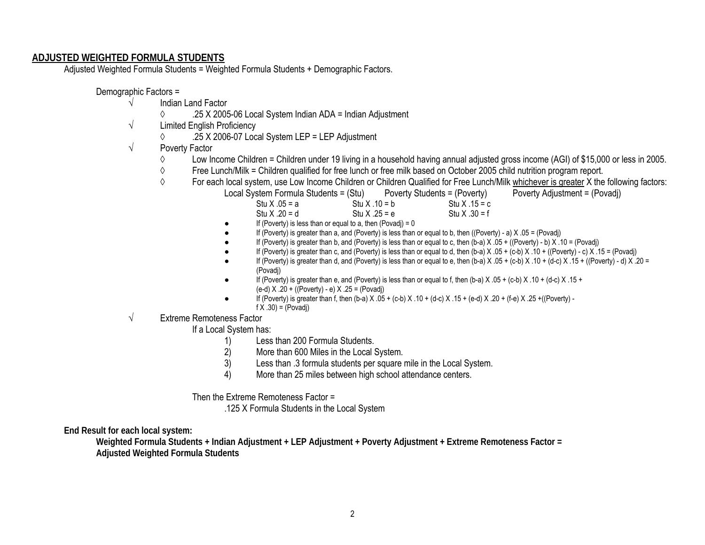#### **ADJUSTED WEIGHTED FORMULA STUDENTS**

Adjusted Weighted Formula Students = Weighted Formula Students + Demographic Factors.

Demographic Factors =

- √ Indian Land Factor
	- ◊ .25 X 2005-06 Local System Indian ADA = Indian Adjustment
- $\sqrt{\phantom{a}}$  Limited English Proficiency
	- ◊ .25 X 2006-07 Local System LEP = LEP Adjustment
- √ Poverty Factor
	- ◊ Low Income Children = Children under 19 living in a household having annual adjusted gross income (AGI) of \$15,000 or less in 2005.
	- ◊ Free Lunch/Milk = Children qualified for free lunch or free milk based on October 2005 child nutrition program report.
	- ◊ For each local system, use Low Income Children or Children Qualified for Free Lunch/Milk whichever is greater X the following factors:

Local System Formula Students = (Stu) Poverty Students = (Poverty) Poverty Adjustment = (Povadj)

| Stu $X.05 = a$ | Stu $X.10 = b$                                             | Stu $X.15 = c$  |
|----------------|------------------------------------------------------------|-----------------|
| Stu $X.20 = d$ | Stu $X.25 = e$                                             | Stu $X .30 = f$ |
|                | If (Poverty) is less than or equal to a, then (Povadi) = 0 |                 |

- If (Poverty) is greater than a, and (Poverty) is less than or equal to b, then ((Poverty) a) X .05 = (Povadj)
- **•** If (Poverty) is greater than b, and (Poverty) is less than or equal to c, then  $(b-a) \times (0.05 + ((Poverty) b) \times (10 0.05))$
- $\bullet$  If (Poverty) is greater than c, and (Poverty) is less than or equal to d, then (b-a) X .05 + (c-b) X .10 + ((Poverty) c) X .15 = (Povadj)
- If (Poverty) is greater than d, and (Poverty) is less than or equal to e, then (b-a) X .05 + (c-b) X .10 + (d-c) X .15 + ((Poverty) d) X .20 = (Povadj)

- $\bullet$  If (Poverty) is greater than e, and (Poverty) is less than or equal to f, then (b-a) X .05 + (c-b) X .10 + (d-c) X .15 + (e-d) X .20 + ((Poverty) - e) X .25 = (Povadj)
- If (Poverty) is greater than f, then (b-a) X .05 + (c-b) X .10 + (d-c) X .15 + (e-d) X .20 + (f-e) X .25 +((Poverty)  $f X .30$ ) = (Povadj)
- √ Extreme Remoteness Factor

If a Local System has:

- 1) Less than 200 Formula Students.
- 2) More than 600 Miles in the Local System.<br>3) Less than .3 formula students per square
- Less than .3 formula students per square mile in the Local System.
- 4) More than 25 miles between high school attendance centers.

Then the Extreme Remoteness Factor =

.125 X Formula Students in the Local System

**End Result for each local system:** 

**Weighted Formula Students + Indian Adjustment + LEP Adjustment + Poverty Adjustment + Extreme Remoteness Factor = Adjusted Weighted Formula Students**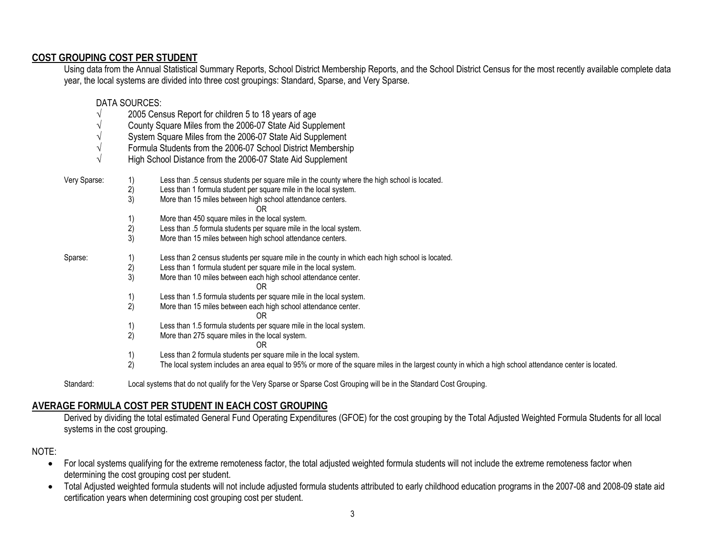## **COST GROUPING COST PER STUDENT**

Using data from the Annual Statistical Summary Reports, School District Membership Reports, and the School District Census for the most recently available complete data year, the local systems are divided into three cost groupings: Standard, Sparse, and Very Sparse.

#### DATA SOURCES:

- √ 2005 Census Report for children 5 to 18 years of age
- √ County Square Miles from the 2006-07 State Aid Supplement
- System Square Miles from the 2006-07 State Aid Supplement
- Formula Students from the 2006-07 School District Membership
- High School Distance from the 2006-07 State Aid Supplement

| Very Sparse: | Less than .5 census students per square mile in the county where the high school is located.                                                                |
|--------------|-------------------------------------------------------------------------------------------------------------------------------------------------------------|
|              | 1)<br>2)<br>Less than 1 formula student per square mile in the local system.                                                                                |
|              | 3)<br>More than 15 miles between high school attendance centers.                                                                                            |
|              | ΟR                                                                                                                                                          |
|              | More than 450 square miles in the local system.<br>1)                                                                                                       |
|              | Less than .5 formula students per square mile in the local system.                                                                                          |
|              | $\binom{2}{3}$<br>More than 15 miles between high school attendance centers.                                                                                |
| Sparse:      | Less than 2 census students per square mile in the county in which each high school is located.<br>1)                                                       |
|              | 2)<br>Less than 1 formula student per square mile in the local system.                                                                                      |
|              | 3)<br>More than 10 miles between each high school attendance center.                                                                                        |
|              | 0R                                                                                                                                                          |
|              | 1)<br>Less than 1.5 formula students per square mile in the local system.                                                                                   |
|              | 2)<br>More than 15 miles between each high school attendance center.                                                                                        |
|              | 0R                                                                                                                                                          |
|              | 1)<br>Less than 1.5 formula students per square mile in the local system.                                                                                   |
|              | 2)<br>More than 275 square miles in the local system.                                                                                                       |
|              | 0R                                                                                                                                                          |
|              | 1)<br>Less than 2 formula students per square mile in the local system.                                                                                     |
|              | 2)<br>The local system includes an area equal to 95% or more of the square miles in the largest county in which a high school attendance center is located. |
| Standard:    | Local systems that do not qualify for the Very Sparse or Sparse Cost Grouping will be in the Standard Cost Grouping.                                        |

#### **AVERAGE FORMULA COST PER STUDENT IN EACH COST GROUPING**

Derived by dividing the total estimated General Fund Operating Expenditures (GFOE) for the cost grouping by the Total Adjusted Weighted Formula Students for all local systems in the cost grouping.

#### NOTE:

- For local systems qualifying for the extreme remoteness factor, the total adjusted weighted formula students will not include the extreme remoteness factor when determining the cost grouping cost per student.
- Total Adjusted weighted formula students will not include adjusted formula students attributed to early childhood education programs in the 2007-08 and 2008-09 state aid certification years when determining cost grouping cost per student.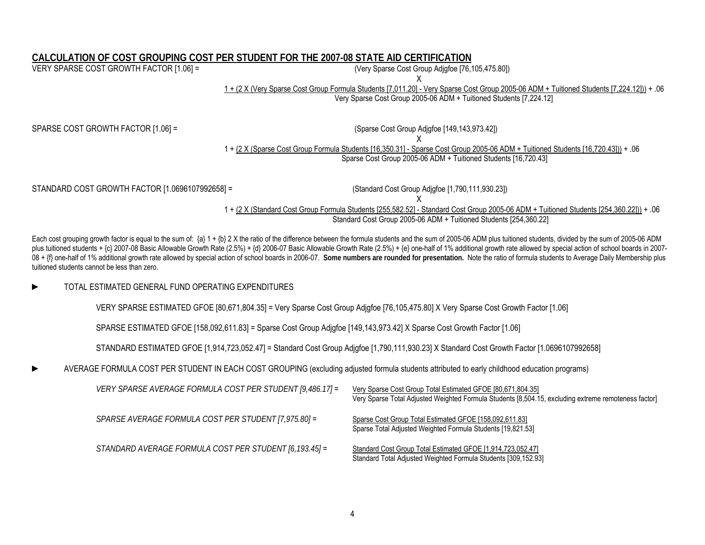#### **CALCULATION OF COST GROUPING COST PER STUDENT FOR THE 2007-08 STATE AID CERTIFICATION**

VERY SPARSE COST GROWTH FACTOR [1.06] = (Very Sparse Cost Group Adjgfoe [76,105,475.80])

X

1 + (2 X (Very Sparse Cost Group Formula Students [7,011.20] - Very Sparse Cost Group 2005-06 ADM + Tuitioned Students [7,224.12])) + .06 Very Sparse Cost Group 2005-06 ADM + Tuitioned Students [7,224.12]

SPARSE COST GROWTH FACTOR [1.06] = (Sparse Cost Group Adjgfoe [149,143,973.42])

X

1 + (2 X (Sparse Cost Group Formula Students [16,350.31] - Sparse Cost Group 2005-06 ADM + Tuitioned Students [16,720.43])) + .06 Sparse Cost Group 2005-06 ADM + Tuitioned Students [16,720.43]

STANDARD COST GROWTH FACTOR [1.0696107992658] = (Standard Cost Group Adjgfoe [1,790,111,930.23])

X 1 + (2 X (Standard Cost Group Formula Students [255,582.52] - Standard Cost Group 2005-06 ADM + Tuitioned Students [254,360.22])) + .06 Standard Cost Group 2005-06 ADM + Tuitioned Students [254,360.22]

Each cost grouping growth factor is equal to the sum of: {a} 1 + {b} 2 X the ratio of the difference between the formula students and the sum of 2005-06 ADM plus tuitioned students, divided by the sum of 2005-06 ADM plus tuitioned students + {c} 2007-08 Basic Allowable Growth Rate (2.5%) + {d} 2006-07 Basic Allowable Growth Rate (2.5%) + {e} one-half of 1% additional growth rate allowed by special action of school boards in 2007-08 + {f} one-half of 1% additional growth rate allowed by special action of school boards in 2006-07. **Some numbers are rounded for presentation.** Note the ratio of formula students to Average Daily Membership plus tuitioned students cannot be less than zero.

#### ► TOTAL ESTIMATED GENERAL FUND OPERATING EXPENDITURES

VERY SPARSE ESTIMATED GFOE [80,671,804.35] = Very Sparse Cost Group Adjgfoe [76,105,475.80] X Very Sparse Cost Growth Factor [1.06]

SPARSE ESTIMATED GFOE [158,092,611.83] = Sparse Cost Group Adjgfoe [149,143,973.42] X Sparse Cost Growth Factor [1.06]

STANDARD ESTIMATED GFOE [1,914,723,052.47] = Standard Cost Group Adjgfoe [1,790,111,930.23] X Standard Cost Growth Factor [1.0696107992658]

► AVERAGE FORMULA COST PER STUDENT IN EACH COST GROUPING (excluding adjusted formula students attributed to early childhood education programs)

| VERY SPARSE AVERAGE FORMULA COST PER STUDENT [9,486.17] = | Very Sparse Cost Group Total Estimated GFOE [80,671,804.35]<br>Very Sparse Total Adjusted Weighted Formula Students [8,504.15, excluding extreme remoteness factor] |
|-----------------------------------------------------------|---------------------------------------------------------------------------------------------------------------------------------------------------------------------|
| SPARSE AVERAGE FORMULA COST PER STUDENT [7,975.80] =      | Sparse Cost Group Total Estimated GFOE [158,092,611.83]<br>Sparse Total Adjusted Weighted Formula Students [19,821.53]                                              |
| STANDARD AVERAGE FORMULA COST PER STUDENT [6,193.45] =    | Standard Cost Group Total Estimated GFOE [1,914,723,052.47]<br>Standard Total Adjusted Weighted Formula Students [309,152.93]                                       |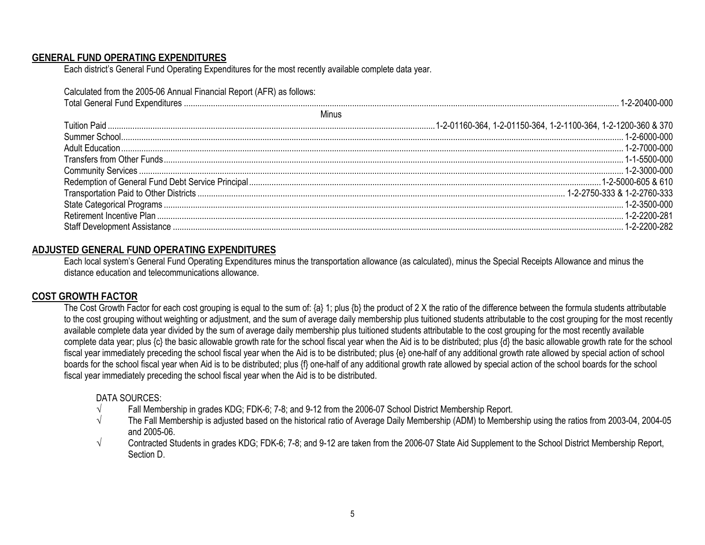#### **GENERAL FUND OPERATING EXPENDITURES**

Each district's General Fund Operating Expenditures for the most recently available complete data year.

| Calculated from the 2005-06 Annual Financial Report (AFR) as follows: |  |
|-----------------------------------------------------------------------|--|
|                                                                       |  |
| Minus                                                                 |  |
|                                                                       |  |
|                                                                       |  |
|                                                                       |  |
|                                                                       |  |
|                                                                       |  |
|                                                                       |  |
|                                                                       |  |
|                                                                       |  |
|                                                                       |  |
|                                                                       |  |
|                                                                       |  |

#### **ADJUSTED GENERAL FUND OPERATING EXPENDITURES**

Each local system's General Fund Operating Expenditures minus the transportation allowance (as calculated), minus the Special Receipts Allowance and minus the distance education and telecommunications allowance.

#### **COST GROWTH FACTOR**

The Cost Growth Factor for each cost grouping is equal to the sum of: {a} 1; plus {b} the product of 2 X the ratio of the difference between the formula students attributable to the cost grouping without weighting or adjustment, and the sum of average daily membership plus tuitioned students attributable to the cost grouping for the most recently available complete data year divided by the sum of average daily membership plus tuitioned students attributable to the cost grouping for the most recently available complete data year; plus {c} the basic allowable growth rate for the school fiscal year when the Aid is to be distributed; plus {d} the basic allowable growth rate for the school fiscal year immediately preceding the school fiscal year when the Aid is to be distributed; plus {e} one-half of any additional growth rate allowed by special action of school boards for the school fiscal year when Aid is to be distributed; plus {f} one-half of any additional growth rate allowed by special action of the school boards for the school fiscal year immediately preceding the school fiscal year when the Aid is to be distributed.

#### DATA SOURCES:

- $\sqrt{ }$  Fall Membership in grades KDG; FDK-6; 7-8; and 9-12 from the 2006-07 School District Membership Report.
- √ The Fall Membership is adjusted based on the historical ratio of Average Daily Membership (ADM) to Membership using the ratios from 2003-04, 2004-05 and 2005-06.
- √ Contracted Students in grades KDG; FDK-6; 7-8; and 9-12 are taken from the 2006-07 State Aid Supplement to the School District Membership Report, Section D.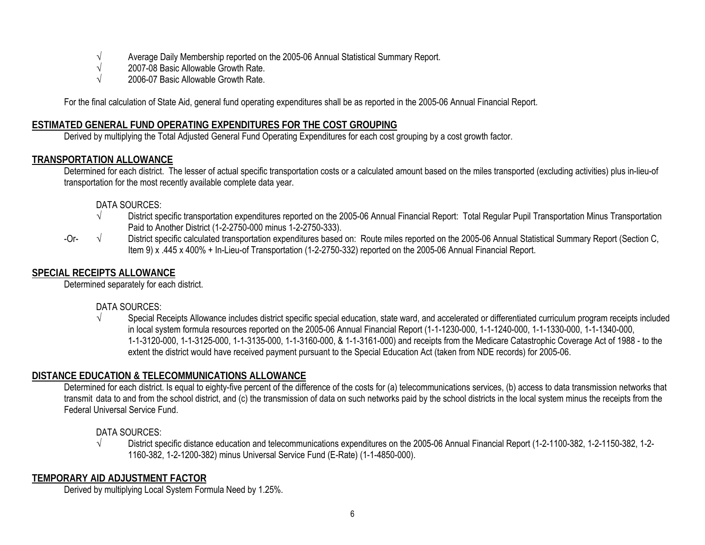- $\sqrt{ }$  Average Daily Membership reported on the 2005-06 Annual Statistical Summary Report.
- $\sqrt{2007}$ -08 Basic Allowable Growth Rate.
- √ 2006-07 Basic Allowable Growth Rate.

For the final calculation of State Aid, general fund operating expenditures shall be as reported in the 2005-06 Annual Financial Report.

#### **ESTIMATED GENERAL FUND OPERATING EXPENDITURES FOR THE COST GROUPING**

Derived by multiplying the Total Adjusted General Fund Operating Expenditures for each cost grouping by a cost growth factor.

## **TRANSPORTATION ALLOWANCE**

Determined for each district. The lesser of actual specific transportation costs or a calculated amount based on the miles transported (excluding activities) plus in-lieu-of transportation for the most recently available complete data year.

#### DATA SOURCES:

- √ District specific transportation expenditures reported on the 2005-06 Annual Financial Report: Total Regular Pupil Transportation Minus Transportation Paid to Another District (1-2-2750-000 minus 1-2-2750-333).
- -Or- √ District specific calculated transportation expenditures based on: Route miles reported on the 2005-06 Annual Statistical Summary Report (Section C, Item 9) x .445 x 400% + In-Lieu-of Transportation (1-2-2750-332) reported on the 2005-06 Annual Financial Report.

## **SPECIAL RECEIPTS ALLOWANCE**

Determined separately for each district.

#### DATA SOURCES:

√ Special Receipts Allowance includes district specific special education, state ward, and accelerated or differentiated curriculum program receipts included in local system formula resources reported on the 2005-06 Annual Financial Report (1-1-1230-000, 1-1-1240-000, 1-1-1330-000, 1-1-1340-000, 1-1-3120-000, 1-1-3125-000, 1-1-3135-000, 1-1-3160-000, & 1-1-3161-000) and receipts from the Medicare Catastrophic Coverage Act of 1988 - to the extent the district would have received payment pursuant to the Special Education Act (taken from NDE records) for 2005-06.

# **DISTANCE EDUCATION & TELECOMMUNICATIONS ALLOWANCE**

Determined for each district. Is equal to eighty-five percent of the difference of the costs for (a) telecommunications services, (b) access to data transmission networks that transmit data to and from the school district, and (c) the transmission of data on such networks paid by the school districts in the local system minus the receipts from the Federal Universal Service Fund.

#### DATA SOURCES:

√ District specific distance education and telecommunications expenditures on the 2005-06 Annual Financial Report (1-2-1100-382, 1-2-1150-382, 1-2- 1160-382, 1-2-1200-382) minus Universal Service Fund (E-Rate) (1-1-4850-000).

# **TEMPORARY AID ADJUSTMENT FACTOR**

Derived by multiplying Local System Formula Need by 1.25%.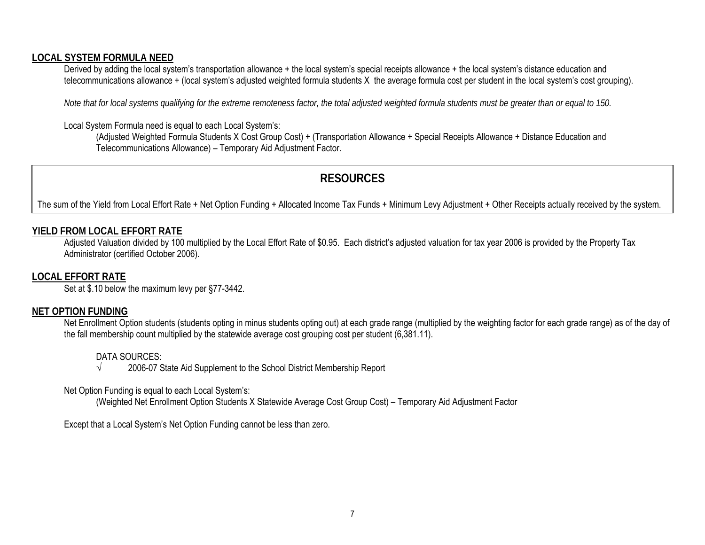#### **LOCAL SYSTEM FORMULA NEED**

Derived by adding the local system's transportation allowance + the local system's special receipts allowance + the local system's distance education and telecommunications allowance + (local system's adjusted weighted formula students X the average formula cost per student in the local system's cost grouping).

*Note that for local systems qualifying for the extreme remoteness factor, the total adjusted weighted formula students must be greater than or equal to 150.*

Local System Formula need is equal to each Local System's:

(Adjusted Weighted Formula Students X Cost Group Cost) + (Transportation Allowance + Special Receipts Allowance + Distance Education and Telecommunications Allowance) – Temporary Aid Adjustment Factor.

# **RESOURCES**

The sum of the Yield from Local Effort Rate + Net Option Funding + Allocated Income Tax Funds + Minimum Levy Adjustment + Other Receipts actually received by the system.

#### **YIELD FROM LOCAL EFFORT RATE**

Adjusted Valuation divided by 100 multiplied by the Local Effort Rate of \$0.95. Each district's adjusted valuation for tax year 2006 is provided by the Property Tax Administrator (certified October 2006).

#### **LOCAL EFFORT RATE**

Set at \$.10 below the maximum levy per §77-3442.

#### **NET OPTION FUNDING**

Net Enrollment Option students (students opting in minus students opting out) at each grade range (multiplied by the weighting factor for each grade range) as of the day of the fall membership count multiplied by the statewide average cost grouping cost per student (6,381.11).

DATA SOURCES:

√ 2006-07 State Aid Supplement to the School District Membership Report

#### Net Option Funding is equal to each Local System's:

(Weighted Net Enrollment Option Students X Statewide Average Cost Group Cost) – Temporary Aid Adjustment Factor

Except that a Local System's Net Option Funding cannot be less than zero.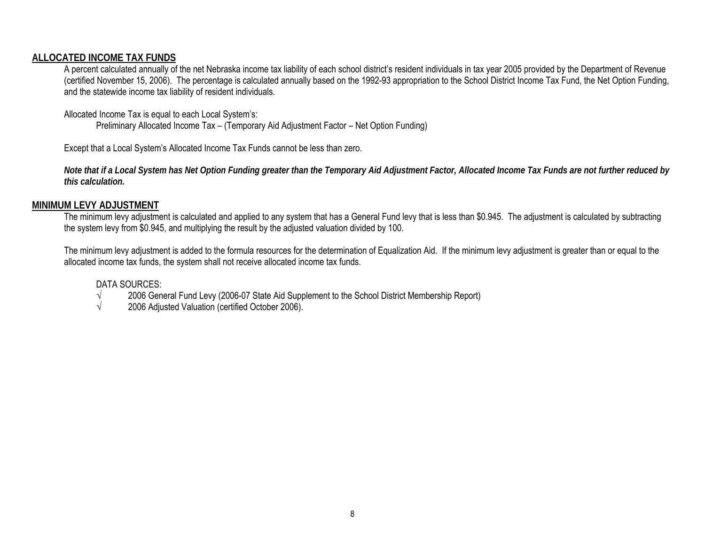#### **ALLOCATED INCOME TAX FUNDS**

A percent calculated annually of the net Nebraska income tax liability of each school district's resident individuals in tax year 2005 provided by the Department of Revenue (certified November 15, 2006). The percentage is calculated annually based on the 1992-93 appropriation to the School District Income Tax Fund, the Net Option Funding, and the statewide income tax liability of resident individuals.

Allocated Income Tax is equal to each Local System's:

Preliminary Allocated Income Tax – (Temporary Aid Adjustment Factor – Net Option Funding)

Except that a Local System's Allocated Income Tax Funds cannot be less than zero.

*Note that if a Local System has Net Option Funding greater than the Temporary Aid Adjustment Factor, Allocated Income Tax Funds are not further reduced by this calculation.*

## **MINIMUM LEVY ADJUSTMENT**

The minimum levy adjustment is calculated and applied to any system that has a General Fund levy that is less than \$0.945. The adjustment is calculated by subtracting the system levy from \$0.945, and multiplying the result by the adjusted valuation divided by 100.

The minimum levy adjustment is added to the formula resources for the determination of Equalization Aid. If the minimum levy adjustment is greater than or equal to the allocated income tax funds, the system shall not receive allocated income tax funds.

#### DATA SOURCES:

- √ 2006 General Fund Levy (2006-07 State Aid Supplement to the School District Membership Report)
- √ 2006 Adjusted Valuation (certified October 2006).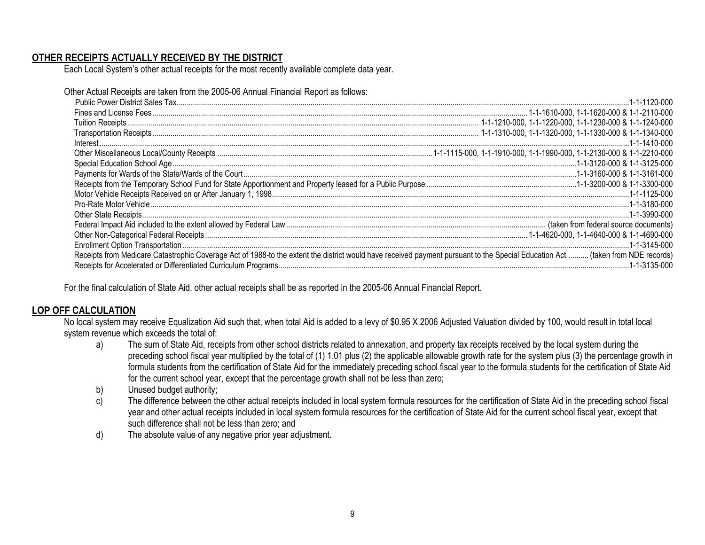#### **OTHER RECEIPTS ACTUALLY RECEIVED BY THE DISTRICT**

Each Local System's other actual receipts for the most recently available complete data year.

Other Actual Receipts are taken from the 2005-06 Annual Financial Report as follows:

| Receipts from Medicare Catastrophic Coverage Act of 1988-to the extent the district would have received payment pursuant to the Special Education Act  (taken from NDE records) |              |
|---------------------------------------------------------------------------------------------------------------------------------------------------------------------------------|--------------|
|                                                                                                                                                                                 | 1-1-3135-000 |

For the final calculation of State Aid, other actual receipts shall be as reported in the 2005-06 Annual Financial Report.

#### **LOP OFF CALCULATION**

No local system may receive Equalization Aid such that, when total Aid is added to a levy of \$0.95 X 2006 Adjusted Valuation divided by 100, would result in total local system revenue which exceeds the total of:

- a) The sum of State Aid, receipts from other school districts related to annexation, and property tax receipts received by the local system during the preceding school fiscal year multiplied by the total of (1) 1.01 plus (2) the applicable allowable growth rate for the system plus (3) the percentage growth in formula students from the certification of State Aid for the immediately preceding school fiscal year to the formula students for the certification of State Aid for the current school year, except that the percentage growth shall not be less than zero;
- b) Unused budget authority;
- c) The difference between the other actual receipts included in local system formula resources for the certification of State Aid in the preceding school fiscal year and other actual receipts included in local system formula resources for the certification of State Aid for the current school fiscal year, except that such difference shall not be less than zero; and
- d) The absolute value of any negative prior year adjustment.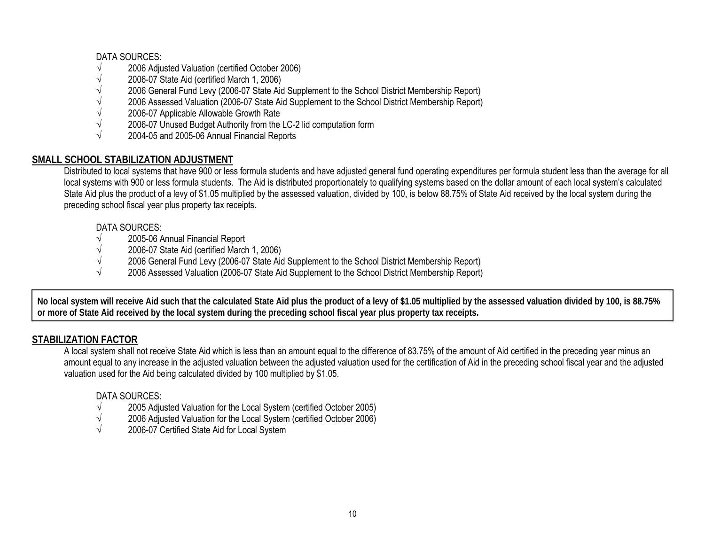#### DATA SOURCES:

- $√$  2006 Adjusted Valuation (certified October 2006)<br> $√$  2006-07 State Aid (certified March 1 2006)
- $√$  2006-07 State Aid (certified March 1, 2006)<br> $√$  2006 General Fund Levy (2006-07 State Aid
- √ 2006 General Fund Levy (2006-07 State Aid Supplement to the School District Membership Report)
- √ 2006 Assessed Valuation (2006-07 State Aid Supplement to the School District Membership Report)
- √ 2006-07 Applicable Allowable Growth Rate
- 2006-07 Unused Budget Authority from the LC-2 lid computation form
- √ 2004-05 and 2005-06 Annual Financial Reports

# **SMALL SCHOOL STABILIZATION ADJUSTMENT**

Distributed to local systems that have 900 or less formula students and have adjusted general fund operating expenditures per formula student less than the average for all local systems with 900 or less formula students. The Aid is distributed proportionately to qualifying systems based on the dollar amount of each local system's calculated State Aid plus the product of a levy of \$1.05 multiplied by the assessed valuation, divided by 100, is below 88.75% of State Aid received by the local system during the preceding school fiscal year plus property tax receipts.

## DATA SOURCES:

- √ 2005-06 Annual Financial Report
- √ 2006-07 State Aid (certified March 1, 2006)
- $\sqrt{2006}$  General Fund Levy (2006-07 State Aid Supplement to the School District Membership Report)
- √ 2006 Assessed Valuation (2006-07 State Aid Supplement to the School District Membership Report)

**No local system will receive Aid such that the calculated State Aid plus the product of a levy of \$1.05 multiplied by the assessed valuation divided by 100, is 88.75% or more of State Aid received by the local system during the preceding school fiscal year plus property tax receipts.** 

# **STABILIZATION FACTOR**

A local system shall not receive State Aid which is less than an amount equal to the difference of 83.75% of the amount of Aid certified in the preceding year minus an amount equal to any increase in the adjusted valuation between the adjusted valuation used for the certification of Aid in the preceding school fiscal year and the adjusted valuation used for the Aid being calculated divided by 100 multiplied by \$1.05.

# DATA SOURCES:

- √ 2005 Adjusted Valuation for the Local System (certified October 2005)
- √ 2006 Adjusted Valuation for the Local System (certified October 2006)<br>√ 2006-07 Certified State Aid for Local System
- √ 2006-07 Certified State Aid for Local System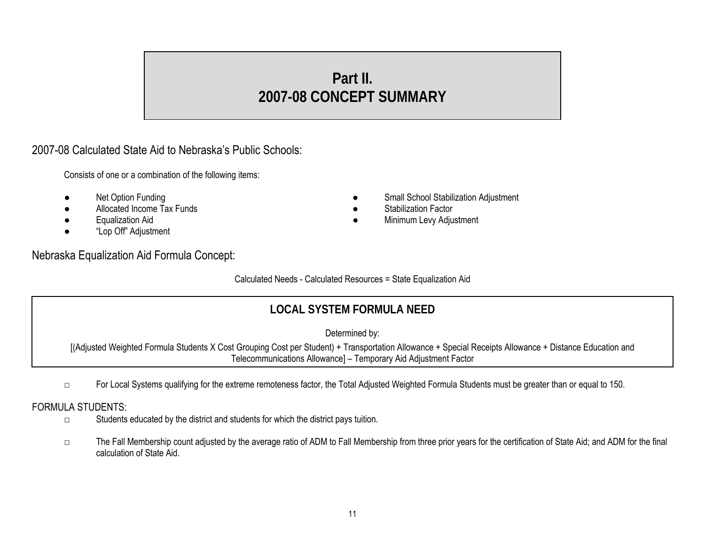# **Part II. 2007-08 CONCEPT SUMMARY**

2007-08 Calculated State Aid to Nebraska's Public Schools:

Consists of one or a combination of the following items:

- 
- Allocated Income Tax Funds Stabilization Factor
- 
- $\bullet$ "Lop Off" Adjustment

# Nebraska Equalization Aid Formula Concept:

- Net Option Funding 
 Net Option Funding 
 Small School Stabilization Adjustment
	-
- Equalization Aid Minimum Levy Adjustment

Calculated Needs - Calculated Resources = State Equalization Aid

# **LOCAL SYSTEM FORMULA NEED**

Determined by:

[(Adjusted Weighted Formula Students X Cost Grouping Cost per Student) + Transportation Allowance + Special Receipts Allowance + Distance Education and Telecommunications Allowance] – Temporary Aid Adjustment Factor

□ For Local Systems qualifying for the extreme remoteness factor, the Total Adjusted Weighted Formula Students must be greater than or equal to 150.

# FORMULA STUDENTS:

- □ Students educated by the district and students for which the district pays tuition.
- □ The Fall Membership count adjusted by the average ratio of ADM to Fall Membership from three prior years for the certification of State Aid; and ADM for the final calculation of State Aid.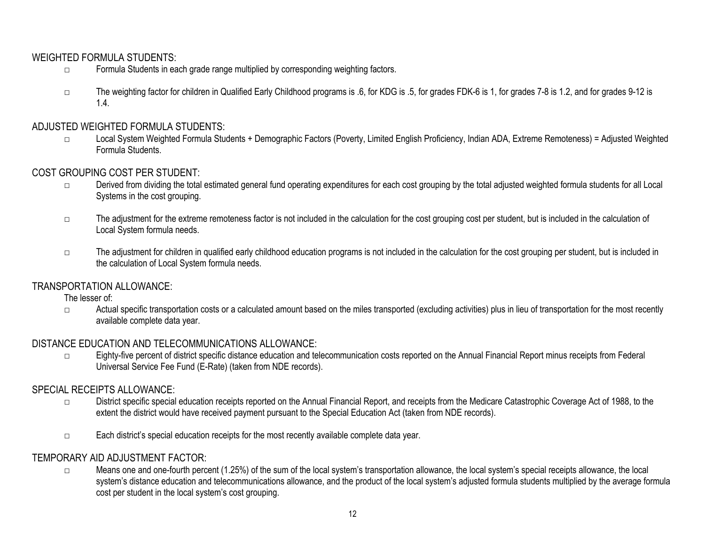# WEIGHTED FORMULA STUDENTS:

- □ Formula Students in each grade range multiplied by corresponding weighting factors.
- □ The weighting factor for children in Qualified Early Childhood programs is .6, for KDG is .5, for grades FDK-6 is 1, for grades 7-8 is 1.2, and for grades 9-12 is 1.4.

# ADJUSTED WEIGHTED FORMULA STUDENTS:

□ Local System Weighted Formula Students + Demographic Factors (Poverty, Limited English Proficiency, Indian ADA, Extreme Remoteness) = Adjusted Weighted Formula Students.

# COST GROUPING COST PER STUDENT:

- □ Derived from dividing the total estimated general fund operating expenditures for each cost grouping by the total adjusted weighted formula students for all Local Systems in the cost grouping.
- □ The adjustment for the extreme remoteness factor is not included in the calculation for the cost grouping cost per student, but is included in the calculation of Local System formula needs.
- □ The adjustment for children in qualified early childhood education programs is not included in the calculation for the cost grouping per student, but is included in the calculation of Local System formula needs.

# TRANSPORTATION ALLOWANCE:

The lesser of:

□ Actual specific transportation costs or a calculated amount based on the miles transported (excluding activities) plus in lieu of transportation for the most recently available complete data year.

# DISTANCE EDUCATION AND TELECOMMUNICATIONS ALLOWANCE:

□ Eighty-five percent of district specific distance education and telecommunication costs reported on the Annual Financial Report minus receipts from Federal Universal Service Fee Fund (E-Rate) (taken from NDE records).

# SPECIAL RECEIPTS ALLOWANCE:

- □ District specific special education receipts reported on the Annual Financial Report, and receipts from the Medicare Catastrophic Coverage Act of 1988, to the extent the district would have received payment pursuant to the Special Education Act (taken from NDE records).
- □ Each district's special education receipts for the most recently available complete data year.

# TEMPORARY AID ADJUSTMENT FACTOR:

□ Means one and one-fourth percent (1.25%) of the sum of the local system's transportation allowance, the local system's special receipts allowance, the local system's distance education and telecommunications allowance, and the product of the local system's adjusted formula students multiplied by the average formula cost per student in the local system's cost grouping.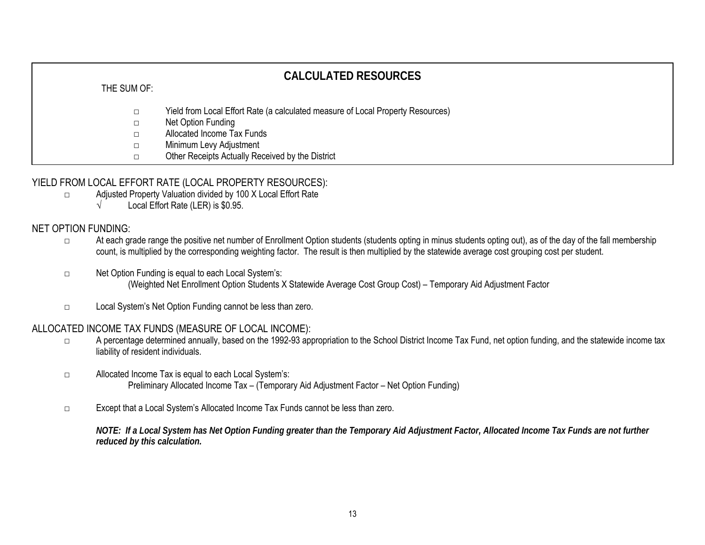| <b>CALCULATED RESOURCES</b> |                                                                                 |  |
|-----------------------------|---------------------------------------------------------------------------------|--|
| THE SUM OF:                 |                                                                                 |  |
| $\Box$                      | Yield from Local Effort Rate (a calculated measure of Local Property Resources) |  |
| □                           | Net Option Funding                                                              |  |
| □                           | Allocated Income Tax Funds                                                      |  |
| □                           | Minimum Levy Adjustment                                                         |  |
| $\Box$                      | Other Receipts Actually Received by the District                                |  |

# YIELD FROM LOCAL EFFORT RATE (LOCAL PROPERTY RESOURCES):

- □ Adjusted Property Valuation divided by 100 X Local Effort Rate
	- $\sqrt{\phantom{a}}$  Local Effort Rate (LER) is \$0.95.

## NET OPTION FUNDING:

- □ At each grade range the positive net number of Enrollment Option students (students opting in minus students opting out), as of the day of the fall membership count, is multiplied by the corresponding weighting factor. The result is then multiplied by the statewide average cost grouping cost per student.
- □ Net Option Funding is equal to each Local System's: (Weighted Net Enrollment Option Students X Statewide Average Cost Group Cost) – Temporary Aid Adjustment Factor
- □ Local System's Net Option Funding cannot be less than zero.

# ALLOCATED INCOME TAX FUNDS (MEASURE OF LOCAL INCOME):

- □ A percentage determined annually, based on the 1992-93 appropriation to the School District Income Tax Fund, net option funding, and the statewide income tax liability of resident individuals.
- □ Allocated Income Tax is equal to each Local System's: Preliminary Allocated Income Tax – (Temporary Aid Adjustment Factor – Net Option Funding)
- □ Except that a Local System's Allocated Income Tax Funds cannot be less than zero.

*NOTE: If a Local System has Net Option Funding greater than the Temporary Aid Adjustment Factor, Allocated Income Tax Funds are not further reduced by this calculation.*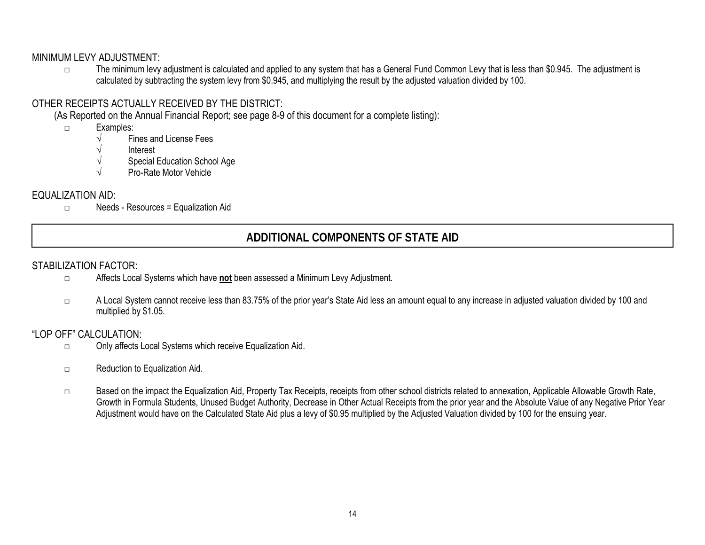#### MINIMUM LEVY ADJUSTMENT:

□ The minimum levy adjustment is calculated and applied to any system that has a General Fund Common Levy that is less than \$0.945. The adjustment is calculated by subtracting the system levy from \$0.945, and multiplying the result by the adjusted valuation divided by 100.

# OTHER RECEIPTS ACTUALLY RECEIVED BY THE DISTRICT:

(As Reported on the Annual Financial Report; see page 8-9 of this document for a complete listing):

- □ Examples:
	- √ Fines and License Fees
	- √ Interest
	- Special Education School Age
	- √ Pro-Rate Motor Vehicle

# EQUALIZATION AID:

□ Needs - Resources = Equalization Aid

# **ADDITIONAL COMPONENTS OF STATE AID**

## STABILIZATION FACTOR:

- □ Affects Local Systems which have **not** been assessed a Minimum Levy Adjustment.
- □ A Local System cannot receive less than 83.75% of the prior year's State Aid less an amount equal to any increase in adjusted valuation divided by 100 and multiplied by \$1.05.

# "LOP OFF" CALCULATION:

- □ Only affects Local Systems which receive Equalization Aid.
- □ Reduction to Equalization Aid.
- □ Based on the impact the Equalization Aid, Property Tax Receipts, receipts from other school districts related to annexation, Applicable Allowable Growth Rate, Growth in Formula Students, Unused Budget Authority, Decrease in Other Actual Receipts from the prior year and the Absolute Value of any Negative Prior Year Adjustment would have on the Calculated State Aid plus a levy of \$0.95 multiplied by the Adjusted Valuation divided by 100 for the ensuing year.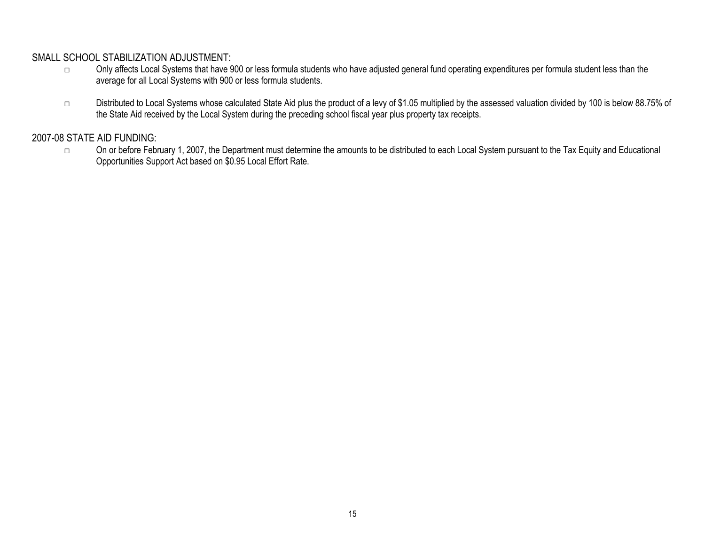# SMALL SCHOOL STABILIZATION ADJUSTMENT:

- □ Only affects Local Systems that have 900 or less formula students who have adjusted general fund operating expenditures per formula student less than the average for all Local Systems with 900 or less formula students.
- □ Distributed to Local Systems whose calculated State Aid plus the product of a levy of \$1.05 multiplied by the assessed valuation divided by 100 is below 88.75% of the State Aid received by the Local System during the preceding school fiscal year plus property tax receipts.

# 2007-08 STATE AID FUNDING:

□ On or before February 1, 2007, the Department must determine the amounts to be distributed to each Local System pursuant to the Tax Equity and Educational Opportunities Support Act based on \$0.95 Local Effort Rate.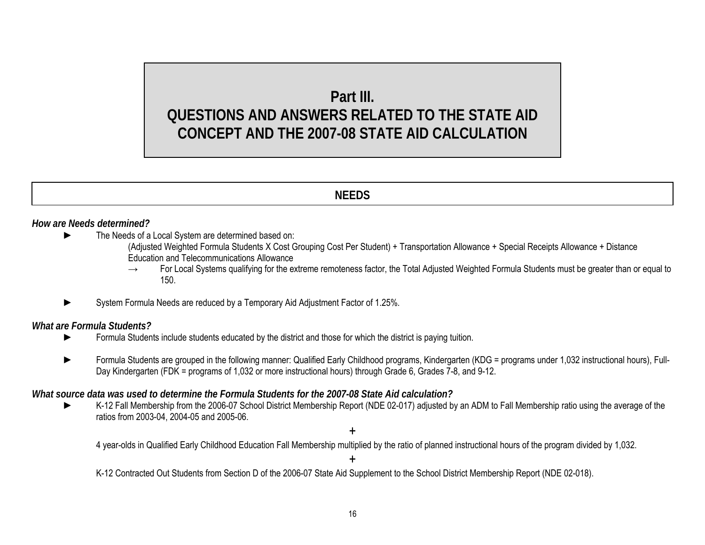# **Part III. QUESTIONS AND ANSWERS RELATED TO THE STATE AID CONCEPT AND THE 2007-08 STATE AID CALCULATION**

# **NEEDS**

#### *How are Needs determined?*

► The Needs of a Local System are determined based on:

(Adjusted Weighted Formula Students X Cost Grouping Cost Per Student) + Transportation Allowance + Special Receipts Allowance + Distance Education and Telecommunications Allowance

- For Local Systems qualifying for the extreme remoteness factor, the Total Adjusted Weighted Formula Students must be greater than or equal to 150.
- System Formula Needs are reduced by a Temporary Aid Adjustment Factor of 1.25%.

#### *What are Formula Students?*

- ► Formula Students include students educated by the district and those for which the district is paying tuition.
- ► Formula Students are grouped in the following manner: Qualified Early Childhood programs, Kindergarten (KDG = programs under 1,032 instructional hours), Full-Day Kindergarten (FDK = programs of 1,032 or more instructional hours) through Grade 6, Grades 7-8, and 9-12.

#### *What source data was used to determine the Formula Students for the 2007-08 State Aid calculation?*

► K-12 Fall Membership from the 2006-07 School District Membership Report (NDE 02-017) adjusted by an ADM to Fall Membership ratio using the average of the ratios from 2003-04, 2004-05 and 2005-06.

+

4 year-olds in Qualified Early Childhood Education Fall Membership multiplied by the ratio of planned instructional hours of the program divided by 1,032.

+

K-12 Contracted Out Students from Section D of the 2006-07 State Aid Supplement to the School District Membership Report (NDE 02-018).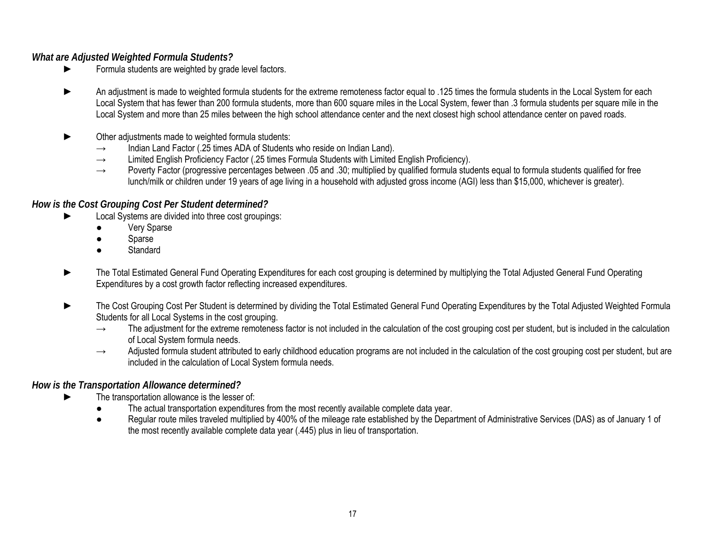## *What are Adjusted Weighted Formula Students?*

- Formula students are weighted by grade level factors.
- An adjustment is made to weighted formula students for the extreme remoteness factor equal to .125 times the formula students in the Local System for each Local System that has fewer than 200 formula students, more than 600 square miles in the Local System, fewer than .3 formula students per square mile in the Local System and more than 25 miles between the high school attendance center and the next closest high school attendance center on paved roads.
- Other adjustments made to weighted formula students:
	- $\rightarrow$  Indian Land Factor (.25 times ADA of Students who reside on Indian Land).
	- $\rightarrow$  Limited English Proficiency Factor (.25 times Formula Students with Limited English Proficiency).
	- $\rightarrow$  Poverty Factor (progressive percentages between .05 and .30; multiplied by qualified formula students equal to formula students qualified for free lunch/milk or children under 19 years of age living in a household with adjusted gross income (AGI) less than \$15,000, whichever is greater).

# *How is the Cost Grouping Cost Per Student determined?*

- Local Systems are divided into three cost groupings:
	- **Very Sparse**
	- Sparse
	- **Standard**
- The Total Estimated General Fund Operating Expenditures for each cost grouping is determined by multiplying the Total Adjusted General Fund Operating Expenditures by a cost growth factor reflecting increased expenditures.
- The Cost Grouping Cost Per Student is determined by dividing the Total Estimated General Fund Operating Expenditures by the Total Adjusted Weighted Formula Students for all Local Systems in the cost grouping.
	- $\rightarrow$  The adjustment for the extreme remoteness factor is not included in the calculation of the cost grouping cost per student, but is included in the calculation of Local System formula needs.
	- $\rightarrow$  Adjusted formula student attributed to early childhood education programs are not included in the calculation of the cost grouping cost per student, but are included in the calculation of Local System formula needs.

# *How is the Transportation Allowance determined?*

- ► The transportation allowance is the lesser of:
	- The actual transportation expenditures from the most recently available complete data year.
	- Regular route miles traveled multiplied by 400% of the mileage rate established by the Department of Administrative Services (DAS) as of January 1 of the most recently available complete data year (.445) plus in lieu of transportation.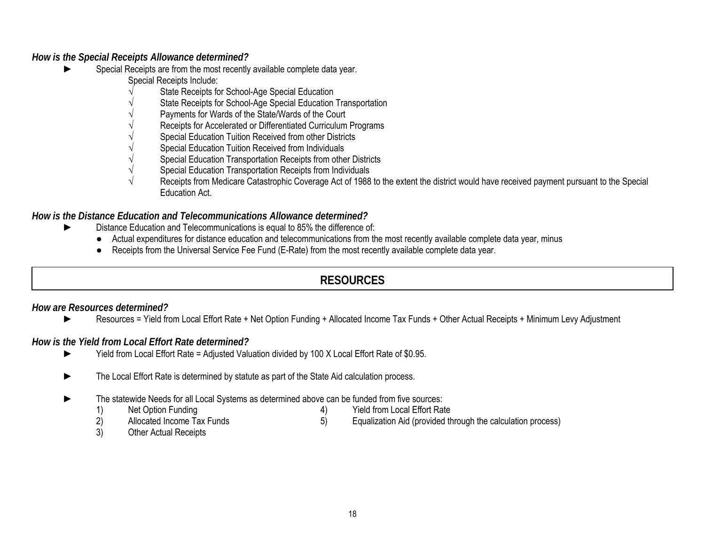#### *How is the Special Receipts Allowance determined?*

- Special Receipts are from the most recently available complete data year. Special Receipts Include:
	- State Receipts for School-Age Special Education
	- State Receipts for School-Age Special Education Transportation
	- Payments for Wards of the State/Wards of the Court
	- Receipts for Accelerated or Differentiated Curriculum Programs
	- Special Education Tuition Received from other Districts
	- Special Education Tuition Received from Individuals
	- Special Education Transportation Receipts from other Districts
	- Special Education Transportation Receipts from Individuals
	- Receipts from Medicare Catastrophic Coverage Act of 1988 to the extent the district would have received payment pursuant to the Special Education Act.

#### *How is the Distance Education and Telecommunications Allowance determined?*

- Distance Education and Telecommunications is equal to 85% the difference of:
	- Actual expenditures for distance education and telecommunications from the most recently available complete data year, minus
	- Receipts from the Universal Service Fee Fund (E-Rate) from the most recently available complete data year.

# **RESOURCES**

#### *How are Resources determined?*

► Resources = Yield from Local Effort Rate + Net Option Funding + Allocated Income Tax Funds + Other Actual Receipts + Minimum Levy Adjustment

#### *How is the Yield from Local Effort Rate determined?*

- ► Yield from Local Effort Rate = Adjusted Valuation divided by 100 X Local Effort Rate of \$0.95.
- ► The Local Effort Rate is determined by statute as part of the State Aid calculation process.
- ► The statewide Needs for all Local Systems as determined above can be funded from five sources:
	-
	- 1) Net Option Funding 19<br>
	2) Allocated Income Tax Funds 19 (5) Equalization Aid (provided the 2)
	-
	- 2) Allocated Income Tax Funds 5) Equalization Aid (provided through the calculation process)
	- 3) Other Actual Receipts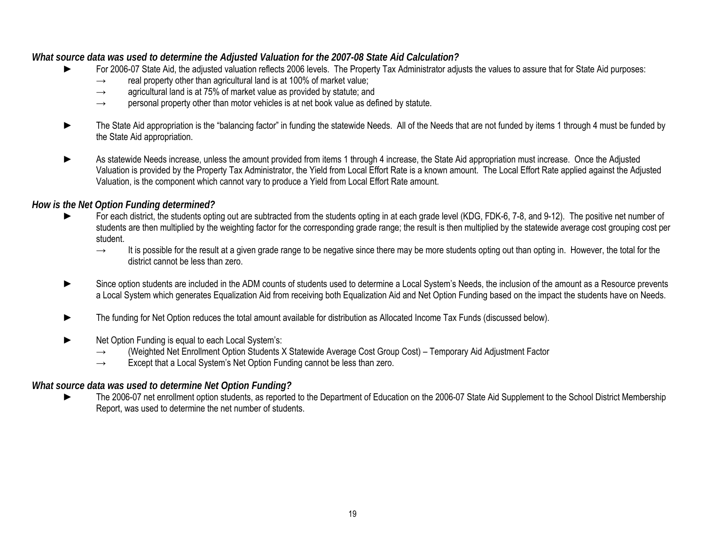#### *What source data was used to determine the Adjusted Valuation for the 2007-08 State Aid Calculation?*

- For 2006-07 State Aid, the adjusted valuation reflects 2006 levels. The Property Tax Administrator adjusts the values to assure that for State Aid purposes:
	- $\rightarrow$  real property other than agricultural land is at 100% of market value;
	- $\rightarrow$  agricultural land is at 75% of market value as provided by statute; and
	- $\rightarrow$  personal property other than motor vehicles is at net book value as defined by statute.
- The State Aid appropriation is the "balancing factor" in funding the statewide Needs. All of the Needs that are not funded by items 1 through 4 must be funded by the State Aid appropriation.
- As statewide Needs increase, unless the amount provided from items 1 through 4 increase, the State Aid appropriation must increase. Once the Adjusted Valuation is provided by the Property Tax Administrator, the Yield from Local Effort Rate is a known amount. The Local Effort Rate applied against the Adjusted Valuation, is the component which cannot vary to produce a Yield from Local Effort Rate amount.

# *How is the Net Option Funding determined?*

- ► For each district, the students opting out are subtracted from the students opting in at each grade level (KDG, FDK-6, 7-8, and 9-12). The positive net number of students are then multiplied by the weighting factor for the corresponding grade range; the result is then multiplied by the statewide average cost grouping cost per student.
	- $\rightarrow$  It is possible for the result at a given grade range to be negative since there may be more students opting out than opting in. However, the total for the district cannot be less than zero.
- Since option students are included in the ADM counts of students used to determine a Local System's Needs, the inclusion of the amount as a Resource prevents a Local System which generates Equalization Aid from receiving both Equalization Aid and Net Option Funding based on the impact the students have on Needs.
- ► The funding for Net Option reduces the total amount available for distribution as Allocated Income Tax Funds (discussed below).
- Net Option Funding is equal to each Local System's:
	- <sup>→</sup> (Weighted Net Enrollment Option Students X Statewide Average Cost Group Cost) Temporary Aid Adjustment Factor
	- $\rightarrow$  Except that a Local System's Net Option Funding cannot be less than zero.

#### *What source data was used to determine Net Option Funding?*

The 2006-07 net enrollment option students, as reported to the Department of Education on the 2006-07 State Aid Supplement to the School District Membership Report, was used to determine the net number of students.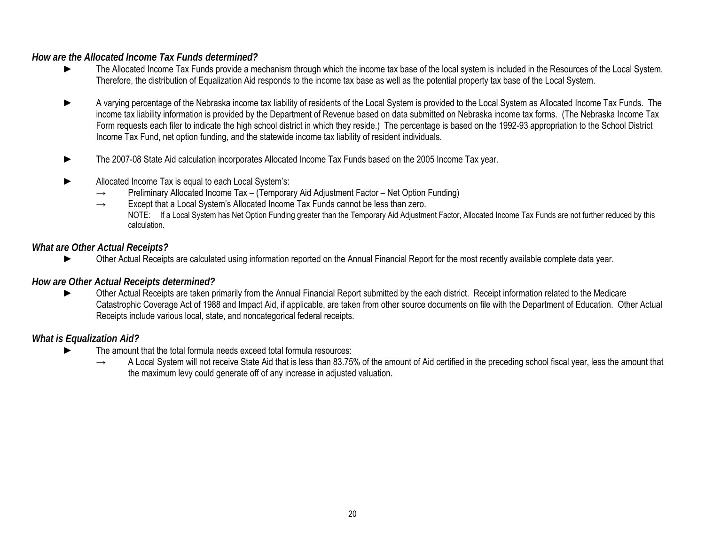#### *How are the Allocated Income Tax Funds determined?*

- The Allocated Income Tax Funds provide a mechanism through which the income tax base of the local system is included in the Resources of the Local System. Therefore, the distribution of Equalization Aid responds to the income tax base as well as the potential property tax base of the Local System.
- ► A varying percentage of the Nebraska income tax liability of residents of the Local System is provided to the Local System as Allocated Income Tax Funds. The income tax liability information is provided by the Department of Revenue based on data submitted on Nebraska income tax forms. (The Nebraska Income Tax Form requests each filer to indicate the high school district in which they reside.) The percentage is based on the 1992-93 appropriation to the School District Income Tax Fund, net option funding, and the statewide income tax liability of resident individuals.
- ► The 2007-08 State Aid calculation incorporates Allocated Income Tax Funds based on the 2005 Income Tax year.
- Allocated Income Tax is equal to each Local System's:
	- $\rightarrow$  Preliminary Allocated Income Tax (Temporary Aid Adjustment Factor Net Option Funding)
	- $\rightarrow$  Except that a Local System's Allocated Income Tax Funds cannot be less than zero. NOTE: If a Local System has Net Option Funding greater than the Temporary Aid Adjustment Factor, Allocated Income Tax Funds are not further reduced by this calculation.

# *What are Other Actual Receipts?*

► Other Actual Receipts are calculated using information reported on the Annual Financial Report for the most recently available complete data year.

# *How are Other Actual Receipts determined?*

Other Actual Receipts are taken primarily from the Annual Financial Report submitted by the each district. Receipt information related to the Medicare Catastrophic Coverage Act of 1988 and Impact Aid, if applicable, are taken from other source documents on file with the Department of Education. Other Actual Receipts include various local, state, and noncategorical federal receipts.

# *What is Equalization Aid?*

- The amount that the total formula needs exceed total formula resources:
	- $\rightarrow$  A Local System will not receive State Aid that is less than 83.75% of the amount of Aid certified in the preceding school fiscal year, less the amount that the maximum levy could generate off of any increase in adjusted valuation.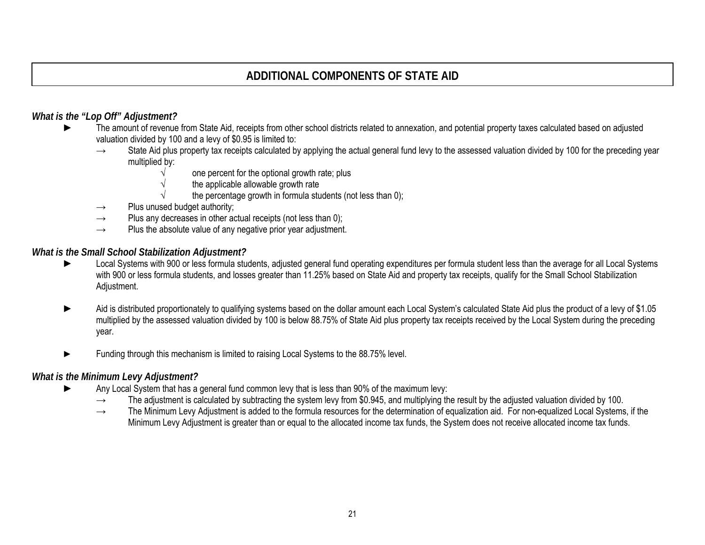# **ADDITIONAL COMPONENTS OF STATE AID**

#### *What is the "Lop Off" Adjustment?*

- The amount of revenue from State Aid, receipts from other school districts related to annexation, and potential property taxes calculated based on adjusted valuation divided by 100 and a levy of \$0.95 is limited to:
	- $\rightarrow$  State Aid plus property tax receipts calculated by applying the actual general fund levy to the assessed valuation divided by 100 for the preceding year multiplied by:
		- $\sqrt{ }$  one percent for the optional growth rate; plus
		- $\sqrt{\ }$  the applicable allowable growth rate
			- the percentage growth in formula students (not less than 0);
	- $\rightarrow$  Plus unused budget authority;
	- $\rightarrow$  Plus any decreases in other actual receipts (not less than 0);
	- $\rightarrow$  Plus the absolute value of any negative prior year adjustment.

## *What is the Small School Stabilization Adjustment?*

- Local Systems with 900 or less formula students, adjusted general fund operating expenditures per formula student less than the average for all Local Systems with 900 or less formula students, and losses greater than 11.25% based on State Aid and property tax receipts, qualify for the Small School Stabilization Adjustment.
- Aid is distributed proportionately to qualifying systems based on the dollar amount each Local System's calculated State Aid plus the product of a levy of \$1.05 multiplied by the assessed valuation divided by 100 is below 88.75% of State Aid plus property tax receipts received by the Local System during the preceding year.
- ►Funding through this mechanism is limited to raising Local Systems to the 88.75% level.

# *What is the Minimum Levy Adjustment?*

- ► Any Local System that has a general fund common levy that is less than 90% of the maximum levy:
	- $\rightarrow$  The adjustment is calculated by subtracting the system levy from \$0.945, and multiplying the result by the adjusted valuation divided by 100.
	- <sup>→</sup> The Minimum Levy Adjustment is added to the formula resources for the determination of equalization aid. For non-equalized Local Systems, if the Minimum Levy Adjustment is greater than or equal to the allocated income tax funds, the System does not receive allocated income tax funds.